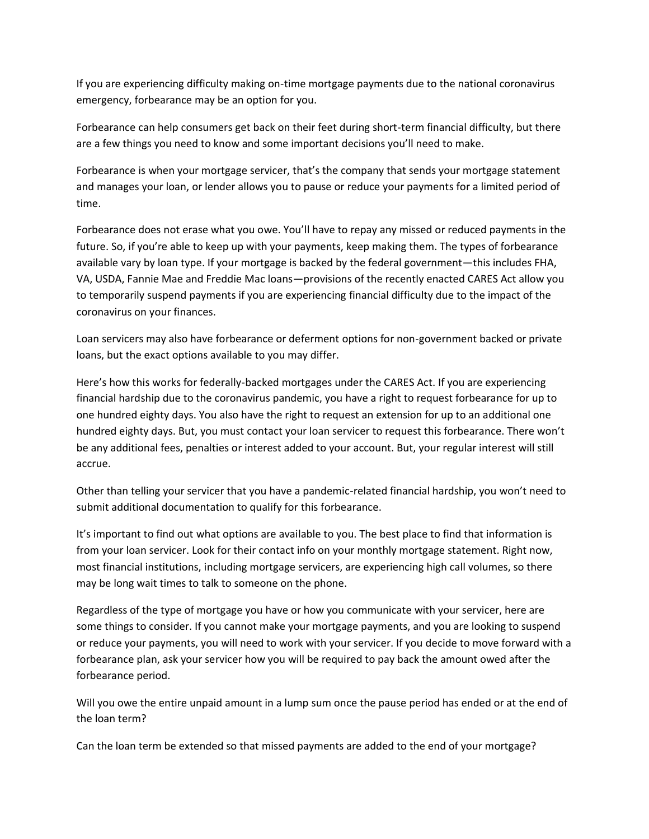If you are experiencing difficulty making on-time mortgage payments due to the national coronavirus emergency, forbearance may be an option for you.

Forbearance can help consumers get back on their feet during short-term financial difficulty, but there are a few things you need to know and some important decisions you'll need to make.

Forbearance is when your mortgage servicer, that's the company that sends your mortgage statement and manages your loan, or lender allows you to pause or reduce your payments for a limited period of time.

Forbearance does not erase what you owe. You'll have to repay any missed or reduced payments in the future. So, if you're able to keep up with your payments, keep making them. The types of forbearance available vary by loan type. If your mortgage is backed by the federal government—this includes FHA, VA, USDA, Fannie Mae and Freddie Mac loans—provisions of the recently enacted CARES Act allow you to temporarily suspend payments if you are experiencing financial difficulty due to the impact of the coronavirus on your finances.

Loan servicers may also have forbearance or deferment options for non-government backed or private loans, but the exact options available to you may differ.

Here's how this works for federally-backed mortgages under the CARES Act. If you are experiencing financial hardship due to the coronavirus pandemic, you have a right to request forbearance for up to one hundred eighty days. You also have the right to request an extension for up to an additional one hundred eighty days. But, you must contact your loan servicer to request this forbearance. There won't be any additional fees, penalties or interest added to your account. But, your regular interest will still accrue.

Other than telling your servicer that you have a pandemic-related financial hardship, you won't need to submit additional documentation to qualify for this forbearance.

It's important to find out what options are available to you. The best place to find that information is from your loan servicer. Look for their contact info on your monthly mortgage statement. Right now, most financial institutions, including mortgage servicers, are experiencing high call volumes, so there may be long wait times to talk to someone on the phone.

Regardless of the type of mortgage you have or how you communicate with your servicer, here are some things to consider. If you cannot make your mortgage payments, and you are looking to suspend or reduce your payments, you will need to work with your servicer. If you decide to move forward with a forbearance plan, ask your servicer how you will be required to pay back the amount owed after the forbearance period.

Will you owe the entire unpaid amount in a lump sum once the pause period has ended or at the end of the loan term?

Can the loan term be extended so that missed payments are added to the end of your mortgage?